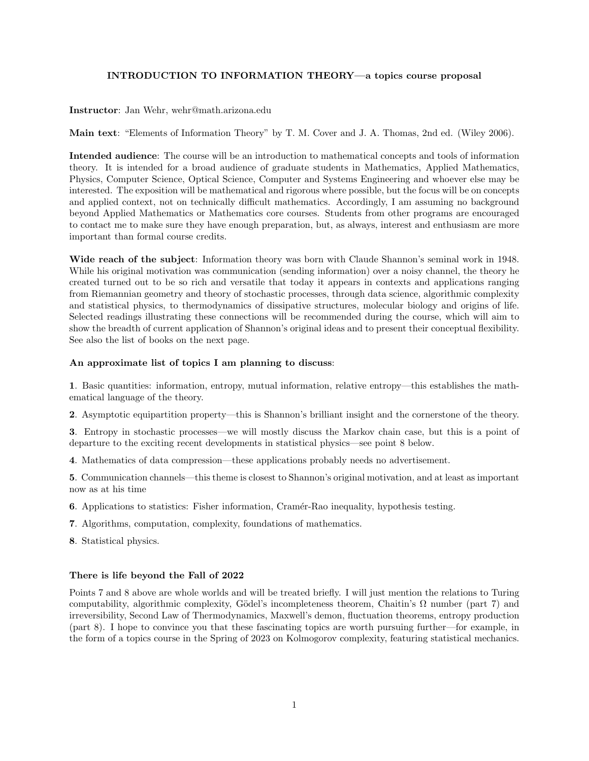## INTRODUCTION TO INFORMATION THEORY—a topics course proposal

Instructor: Jan Wehr, wehr@math.arizona.edu

Main text: "Elements of Information Theory" by T. M. Cover and J. A. Thomas, 2nd ed. (Wiley 2006).

Intended audience: The course will be an introduction to mathematical concepts and tools of information theory. It is intended for a broad audience of graduate students in Mathematics, Applied Mathematics, Physics, Computer Science, Optical Science, Computer and Systems Engineering and whoever else may be interested. The exposition will be mathematical and rigorous where possible, but the focus will be on concepts and applied context, not on technically difficult mathematics. Accordingly, I am assuming no background beyond Applied Mathematics or Mathematics core courses. Students from other programs are encouraged to contact me to make sure they have enough preparation, but, as always, interest and enthusiasm are more important than formal course credits.

Wide reach of the subject: Information theory was born with Claude Shannon's seminal work in 1948. While his original motivation was communication (sending information) over a noisy channel, the theory he created turned out to be so rich and versatile that today it appears in contexts and applications ranging from Riemannian geometry and theory of stochastic processes, through data science, algorithmic complexity and statistical physics, to thermodynamics of dissipative structures, molecular biology and origins of life. Selected readings illustrating these connections will be recommended during the course, which will aim to show the breadth of current application of Shannon's original ideas and to present their conceptual flexibility. See also the list of books on the next page.

## An approximate list of topics I am planning to discuss:

1. Basic quantities: information, entropy, mutual information, relative entropy—this establishes the mathematical language of the theory.

2. Asymptotic equipartition property—this is Shannon's brilliant insight and the cornerstone of the theory.

3. Entropy in stochastic processes—we will mostly discuss the Markov chain case, but this is a point of departure to the exciting recent developments in statistical physics—see point 8 below.

4. Mathematics of data compression—these applications probably needs no advertisement.

5. Communication channels—this theme is closest to Shannon's original motivation, and at least as important now as at his time

- 6. Applications to statistics: Fisher information, Cramér-Rao inequality, hypothesis testing.
- 7. Algorithms, computation, complexity, foundations of mathematics.

8. Statistical physics.

## There is life beyond the Fall of 2022

Points 7 and 8 above are whole worlds and will be treated briefly. I will just mention the relations to Turing computability, algorithmic complexity, Gödel's incompleteness theorem, Chaitin's  $\Omega$  number (part 7) and irreversibility, Second Law of Thermodynamics, Maxwell's demon, fluctuation theorems, entropy production (part 8). I hope to convince you that these fascinating topics are worth pursuing further—for example, in the form of a topics course in the Spring of 2023 on Kolmogorov complexity, featuring statistical mechanics.